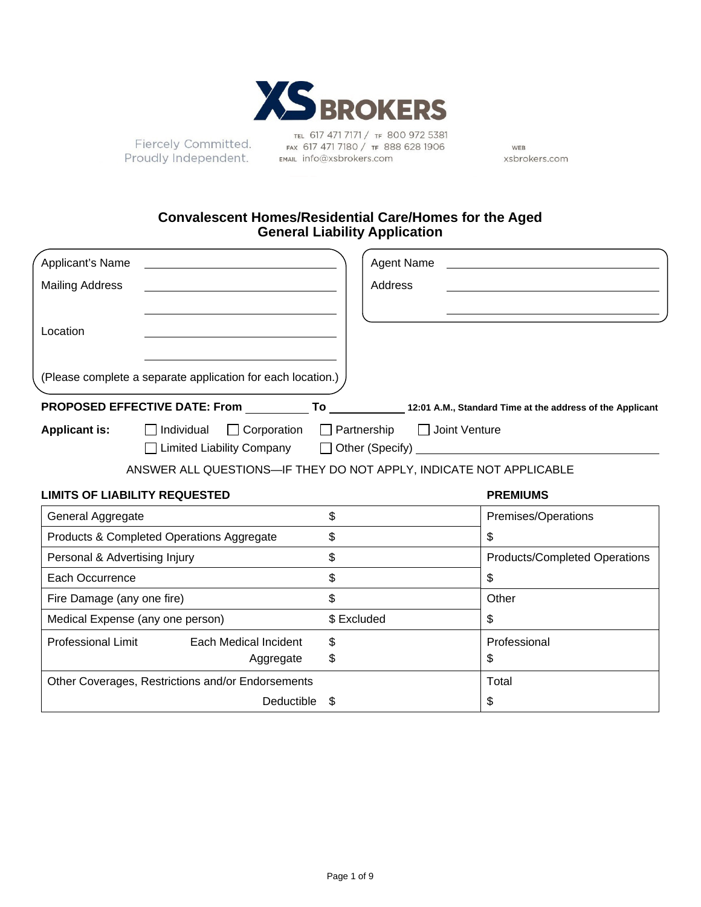

Fiercely Committed. Proudly Independent.

TEL 617 471 7171 / TF 800 972 5381 FAX 617 471 7180 / TF 888 628 1906 EMAIL info@xsbrokers.com

WEB xsbrokers.com

## **Convalescent Homes/Residential Care/Homes for the Aged General Liability Application**

| Applicant's Name              |                                                                    | Agent Name                                  |                                                                                                                      |
|-------------------------------|--------------------------------------------------------------------|---------------------------------------------|----------------------------------------------------------------------------------------------------------------------|
| <b>Mailing Address</b>        |                                                                    | Address                                     |                                                                                                                      |
| Location                      |                                                                    |                                             |                                                                                                                      |
|                               | (Please complete a separate application for each location.)        |                                             |                                                                                                                      |
|                               |                                                                    |                                             | PROPOSED EFFECTIVE DATE: From ____________To ______________12:01 A.M., Standard Time at the address of the Applicant |
| <b>Applicant is:</b>          | Individual                                                         | □ Corporation □ Partnership □ Joint Venture |                                                                                                                      |
|                               |                                                                    |                                             |                                                                                                                      |
|                               | ANSWER ALL QUESTIONS-IF THEY DO NOT APPLY, INDICATE NOT APPLICABLE |                                             |                                                                                                                      |
|                               | <b>LIMITS OF LIABILITY REQUESTED</b>                               |                                             | <b>PREMIUMS</b>                                                                                                      |
| General Aggregate             |                                                                    | \$                                          | Premises/Operations                                                                                                  |
|                               | Products & Completed Operations Aggregate                          | \$                                          | \$                                                                                                                   |
| Personal & Advertising Injury |                                                                    | \$                                          | <b>Products/Completed Operations</b>                                                                                 |
| Each Occurrence               |                                                                    | \$                                          | \$                                                                                                                   |
| Fire Damage (any one fire)    |                                                                    | \$                                          | Other                                                                                                                |
|                               | Medical Expense (any one person)                                   | \$ Excluded                                 | \$                                                                                                                   |
|                               | Professional Limit Each Medical Incident                           | \$                                          | Professional                                                                                                         |
|                               | Aggregate                                                          | \$                                          | \$                                                                                                                   |
|                               | Other Coverages, Restrictions and/or Endorsements                  |                                             | Total                                                                                                                |
|                               | Deductible                                                         | \$                                          | \$                                                                                                                   |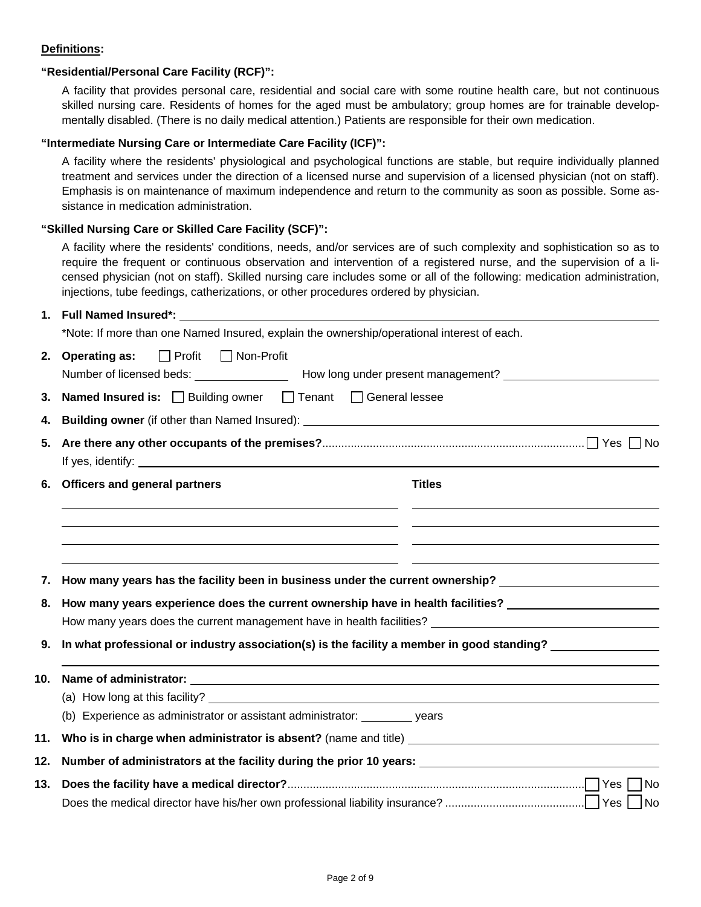## **Definitions:**

## **"Residential/Personal Care Facility (RCF)":**

A facility that provides personal care, residential and social care with some routine health care, but not continuous skilled nursing care. Residents of homes for the aged must be ambulatory; group homes are for trainable developmentally disabled. (There is no daily medical attention.) Patients are responsible for their own medication.

### **"Intermediate Nursing Care or Intermediate Care Facility (ICF)":**

A facility where the residents' physiological and psychological functions are stable, but require individually planned treatment and services under the direction of a licensed nurse and supervision of a licensed physician (not on staff). Emphasis is on maintenance of maximum independence and return to the community as soon as possible. Some assistance in medication administration.

### **"Skilled Nursing Care or Skilled Care Facility (SCF)":**

A facility where the residents' conditions, needs, and/or services are of such complexity and sophistication so as to require the frequent or continuous observation and intervention of a registered nurse, and the supervision of a licensed physician (not on staff). Skilled nursing care includes some or all of the following: medication administration, injections, tube feedings, catherizations, or other procedures ordered by physician.

## **1. Full Named Insured\*:**

\*Note: If more than one Named Insured, explain the ownership/operational interest of each. **2. Operating as:** Profit Non-Profit Number of licensed beds: Number of licensed beds: Number present management? **3. Named Insured is:**  $\Box$  Building owner  $\Box$  Tenant  $\Box$  General lessee **4. Building owner** (if other than Named Insured): **5. Are there any other occupants of the premises?**................................................................................... Yes No If yes, identify: **6.** Officers and general partners **Times Times Times**  $\overline{a}$  L j. **7. How many years has the facility been in business under the current ownership? 8. How many years experience does the current ownership have in health facilities?**  How many years does the current management have in health facilities? **9. In what professional or industry association(s) is the facility a member in good standing? 10. Name of administrator:** (a) How long at this facility? (b) Experience as administrator or assistant administrator: years

**11. Who is in charge when administrator is absent?** (name and title)

| 12. Number of administrators at the facility during the prior 10 years: |
|-------------------------------------------------------------------------|
|                                                                         |
|                                                                         |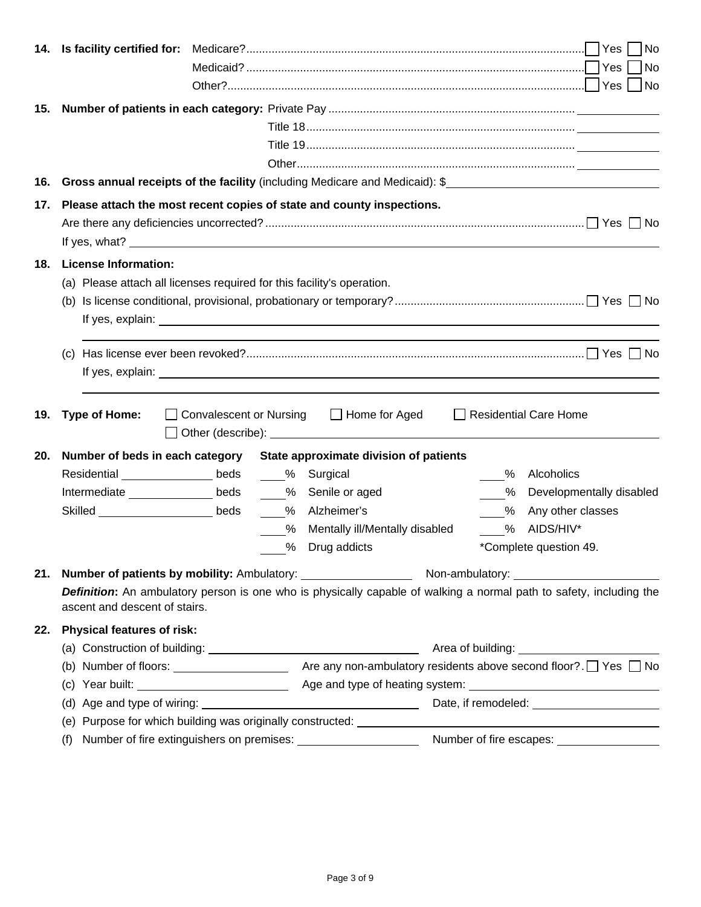|     |                                                                                                                                                      |  |   |                                           |  |      |                              | No |
|-----|------------------------------------------------------------------------------------------------------------------------------------------------------|--|---|-------------------------------------------|--|------|------------------------------|----|
| 15. |                                                                                                                                                      |  |   |                                           |  |      |                              |    |
|     |                                                                                                                                                      |  |   |                                           |  |      |                              |    |
|     |                                                                                                                                                      |  |   |                                           |  |      |                              |    |
|     |                                                                                                                                                      |  |   |                                           |  |      |                              |    |
| 16. |                                                                                                                                                      |  |   |                                           |  |      |                              |    |
| 17. | Please attach the most recent copies of state and county inspections.                                                                                |  |   |                                           |  |      |                              |    |
|     |                                                                                                                                                      |  |   |                                           |  |      |                              |    |
| 18. | <b>License Information:</b>                                                                                                                          |  |   |                                           |  |      |                              |    |
|     | (a) Please attach all licenses required for this facility's operation.                                                                               |  |   |                                           |  |      |                              |    |
|     |                                                                                                                                                      |  |   |                                           |  |      |                              |    |
|     |                                                                                                                                                      |  |   |                                           |  |      |                              |    |
|     |                                                                                                                                                      |  |   |                                           |  |      |                              |    |
|     |                                                                                                                                                      |  |   |                                           |  |      |                              |    |
|     |                                                                                                                                                      |  |   |                                           |  |      |                              |    |
|     |                                                                                                                                                      |  |   |                                           |  |      |                              |    |
| 19. | <b>Type of Home:</b>                                                                                                                                 |  |   | □ Convalescent or Nursing □ Home for Aged |  |      | $\Box$ Residential Care Home |    |
|     |                                                                                                                                                      |  |   |                                           |  |      |                              |    |
| 20. | Number of beds in each category State approximate division of patients                                                                               |  |   |                                           |  |      |                              |    |
|     | Residential <b>Network</b> beds %                                                                                                                    |  |   | Surgical                                  |  | %    | Alcoholics                   |    |
|     | Intermediate ________________ beds                                                                                                                   |  |   | % Senile or aged                          |  | $\%$ | Developmentally disabled     |    |
|     | Skilled ___________________________beds                                                                                                              |  |   | % Alzheimer's                             |  |      | % Any other classes          |    |
|     |                                                                                                                                                      |  | % | Mentally ill/Mentally disabled            |  |      | % AIDS/HIV*                  |    |
|     |                                                                                                                                                      |  | % | Drug addicts                              |  |      | *Complete question 49.       |    |
|     |                                                                                                                                                      |  |   |                                           |  |      |                              |    |
| 21. |                                                                                                                                                      |  |   |                                           |  |      |                              |    |
|     | Definition: An ambulatory person is one who is physically capable of walking a normal path to safety, including the<br>ascent and descent of stairs. |  |   |                                           |  |      |                              |    |
| 22. | <b>Physical features of risk:</b>                                                                                                                    |  |   |                                           |  |      |                              |    |
|     |                                                                                                                                                      |  |   |                                           |  |      |                              |    |
|     |                                                                                                                                                      |  |   |                                           |  |      |                              |    |
|     |                                                                                                                                                      |  |   |                                           |  |      |                              |    |
|     |                                                                                                                                                      |  |   |                                           |  |      |                              |    |
|     |                                                                                                                                                      |  |   |                                           |  |      |                              |    |
|     | (f)                                                                                                                                                  |  |   |                                           |  |      |                              |    |
|     |                                                                                                                                                      |  |   |                                           |  |      |                              |    |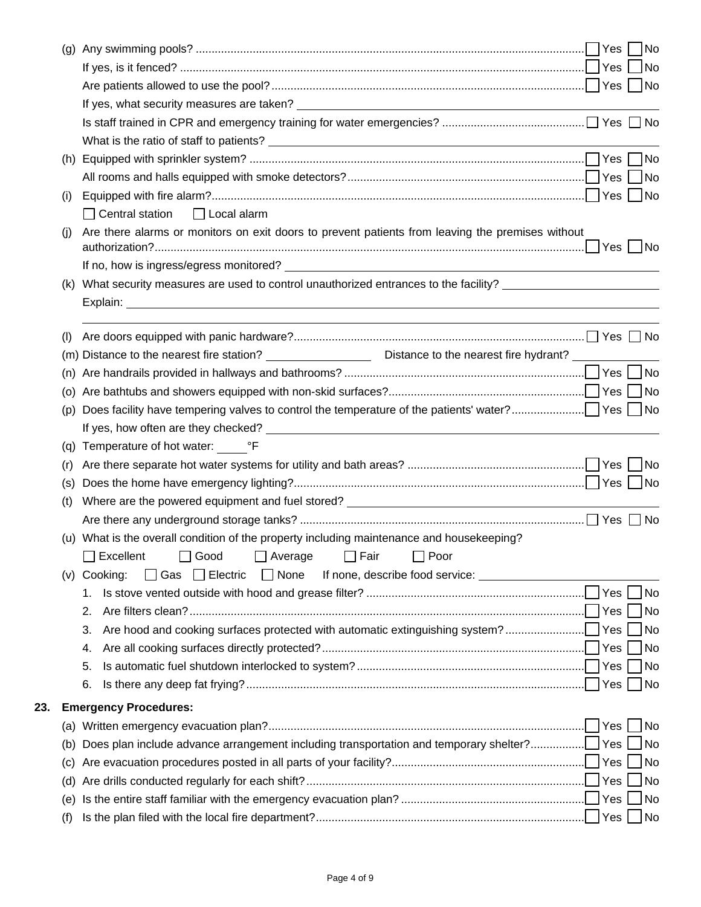|     |     |                                                                                                                        |       | No                          |
|-----|-----|------------------------------------------------------------------------------------------------------------------------|-------|-----------------------------|
|     |     |                                                                                                                        |       | No                          |
|     |     |                                                                                                                        |       |                             |
|     |     |                                                                                                                        |       |                             |
|     |     |                                                                                                                        |       |                             |
|     |     |                                                                                                                        |       |                             |
|     | (h) |                                                                                                                        |       |                             |
|     |     |                                                                                                                        |       | $\overline{\phantom{a}}$ No |
|     | (i) |                                                                                                                        |       |                             |
|     |     | $\Box$ Central station<br>  Local alarm                                                                                |       |                             |
|     | (i) | Are there alarms or monitors on exit doors to prevent patients from leaving the premises without                       |       |                             |
|     |     |                                                                                                                        |       |                             |
|     | (K) | What security measures are used to control unauthorized entrances to the facility? __________________________          |       |                             |
|     |     |                                                                                                                        |       |                             |
|     |     |                                                                                                                        |       |                             |
|     | (1) |                                                                                                                        |       |                             |
|     |     | (m) Distance to the nearest fire station? ___________________________Distance to the nearest fire hydrant? ___________ |       |                             |
|     | (n) |                                                                                                                        |       |                             |
|     |     |                                                                                                                        |       |                             |
|     | (p) |                                                                                                                        |       |                             |
|     |     |                                                                                                                        |       |                             |
|     |     | (q) Temperature of hot water: <sup>o</sup> F                                                                           |       |                             |
|     | (r) |                                                                                                                        |       |                             |
|     | (s) |                                                                                                                        |       |                             |
|     | (t) | Where are the powered equipment and fuel stored? ________________________________                                      |       |                             |
|     |     |                                                                                                                        |       |                             |
|     |     | (u) What is the overall condition of the property including maintenance and housekeeping?                              |       |                             |
|     |     | □ Good □ Average □ Fair □ Poor<br>$\Box$ Excellent                                                                     |       |                             |
|     |     | □ Gas □ Electric<br>$\Box$ None<br>(v) Cooking:                                                                        |       |                             |
|     |     | 1.                                                                                                                     |       | No                          |
|     |     | 2.                                                                                                                     |       | <b>No</b>                   |
|     |     | 3.                                                                                                                     |       | <b>No</b><br>No             |
|     |     | 4.                                                                                                                     |       | No                          |
|     |     | 5.<br>6.                                                                                                               |       | No                          |
|     |     |                                                                                                                        |       |                             |
| 23. |     | <b>Emergency Procedures:</b>                                                                                           |       |                             |
|     |     |                                                                                                                        |       | No                          |
|     | (b) |                                                                                                                        |       | <b>No</b>                   |
|     | (C) |                                                                                                                        |       | <b>No</b>                   |
|     | (d) |                                                                                                                        | Yes [ | <b>No</b>                   |
|     | (e) |                                                                                                                        |       | <b>No</b>                   |
|     | (f) |                                                                                                                        | Yes   | No                          |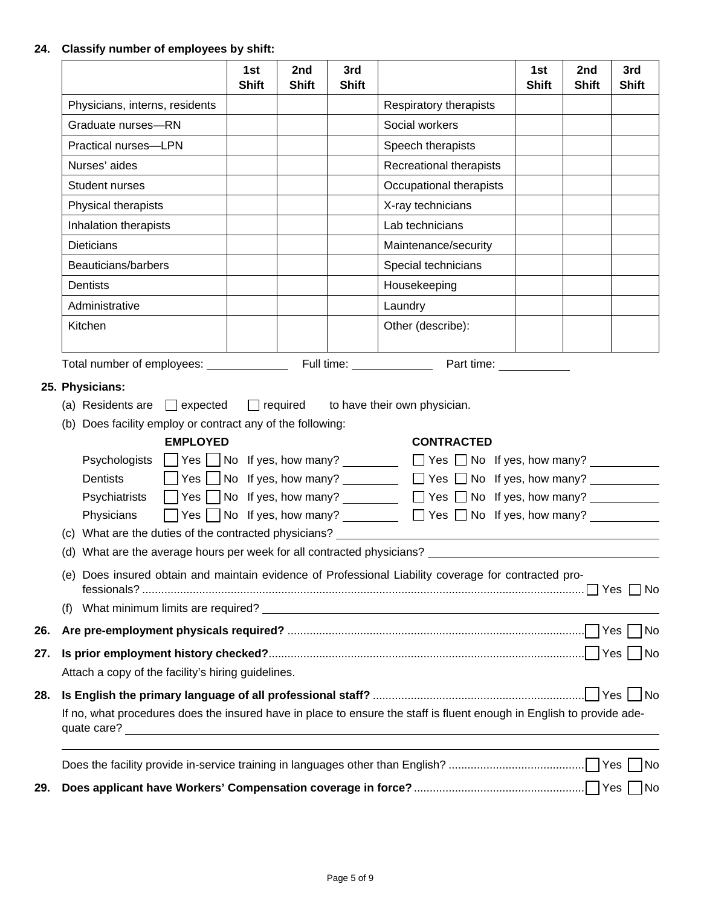# **24. Classify number of employees by shift:**

|     |                                                                                                                                                                                                                                                                                                                                                                                                                                                                                                                                                                                                 | 1st<br><b>Shift</b> | 2nd<br><b>Shift</b> | 3rd<br><b>Shift</b>    |                                                                                                                                                                                                   | 1st<br><b>Shift</b> | 2nd<br><b>Shift</b> | 3rd<br><b>Shift</b> |
|-----|-------------------------------------------------------------------------------------------------------------------------------------------------------------------------------------------------------------------------------------------------------------------------------------------------------------------------------------------------------------------------------------------------------------------------------------------------------------------------------------------------------------------------------------------------------------------------------------------------|---------------------|---------------------|------------------------|---------------------------------------------------------------------------------------------------------------------------------------------------------------------------------------------------|---------------------|---------------------|---------------------|
|     | Physicians, interns, residents                                                                                                                                                                                                                                                                                                                                                                                                                                                                                                                                                                  |                     |                     | Respiratory therapists |                                                                                                                                                                                                   |                     |                     |                     |
|     | Graduate nurses-RN                                                                                                                                                                                                                                                                                                                                                                                                                                                                                                                                                                              |                     |                     |                        | Social workers                                                                                                                                                                                    |                     |                     |                     |
|     | Practical nurses-LPN                                                                                                                                                                                                                                                                                                                                                                                                                                                                                                                                                                            |                     |                     |                        | Speech therapists                                                                                                                                                                                 |                     |                     |                     |
|     | Nurses' aides                                                                                                                                                                                                                                                                                                                                                                                                                                                                                                                                                                                   |                     |                     |                        | Recreational therapists                                                                                                                                                                           |                     |                     |                     |
|     | Student nurses                                                                                                                                                                                                                                                                                                                                                                                                                                                                                                                                                                                  |                     |                     |                        | Occupational therapists                                                                                                                                                                           |                     |                     |                     |
|     | Physical therapists                                                                                                                                                                                                                                                                                                                                                                                                                                                                                                                                                                             |                     |                     |                        | X-ray technicians                                                                                                                                                                                 |                     |                     |                     |
|     | Inhalation therapists                                                                                                                                                                                                                                                                                                                                                                                                                                                                                                                                                                           |                     |                     |                        | Lab technicians                                                                                                                                                                                   |                     |                     |                     |
|     | <b>Dieticians</b>                                                                                                                                                                                                                                                                                                                                                                                                                                                                                                                                                                               |                     |                     |                        | Maintenance/security                                                                                                                                                                              |                     |                     |                     |
|     | Beauticians/barbers                                                                                                                                                                                                                                                                                                                                                                                                                                                                                                                                                                             |                     |                     |                        | Special technicians                                                                                                                                                                               |                     |                     |                     |
|     | Dentists                                                                                                                                                                                                                                                                                                                                                                                                                                                                                                                                                                                        |                     |                     |                        | Housekeeping                                                                                                                                                                                      |                     |                     |                     |
|     | Administrative                                                                                                                                                                                                                                                                                                                                                                                                                                                                                                                                                                                  |                     |                     |                        | Laundry                                                                                                                                                                                           |                     |                     |                     |
|     | Kitchen                                                                                                                                                                                                                                                                                                                                                                                                                                                                                                                                                                                         |                     |                     |                        | Other (describe):                                                                                                                                                                                 |                     |                     |                     |
|     | 25. Physicians:<br>(a) Residents are $\Box$ expected $\Box$ required to have their own physician.<br>(b) Does facility employ or contract any of the following:<br><b>EMPLOYED</b><br>Psychologists   Yes   No If yes, how many? _ _ _ _ _ _ TYes □ No If yes, how many? _ _ _ _ _<br><b>Dentists</b><br>Psychiatrists   Yes No If yes, how many?   200   Yes No If yes, how many?   200   Yes No If yes, how many?<br>Physicians<br>(c) What are the duties of the contracted physicians? __________________________<br>(d) What are the average hours per week for all contracted physicians? |                     |                     |                        | <b>CONTRACTED</b><br>$\Box$ Yes $\Box$ No If yes, how many? $\Box$ Yes $\Box$ No If yes, how many? $\Box$<br>$\Box$ Yes $\Box$ No If yes, how many? $\Box$ Yes $\Box$ No If yes, how many? $\Box$ |                     |                     |                     |
|     | Does insured obtain and maintain evidence of Professional Liability coverage for contracted pro-<br>(e)                                                                                                                                                                                                                                                                                                                                                                                                                                                                                         |                     |                     |                        |                                                                                                                                                                                                   |                     |                     |                     |
|     | (1)                                                                                                                                                                                                                                                                                                                                                                                                                                                                                                                                                                                             |                     |                     |                        |                                                                                                                                                                                                   |                     |                     |                     |
| 26. |                                                                                                                                                                                                                                                                                                                                                                                                                                                                                                                                                                                                 |                     |                     |                        |                                                                                                                                                                                                   |                     |                     | No                  |
| 27. | Attach a copy of the facility's hiring guidelines.                                                                                                                                                                                                                                                                                                                                                                                                                                                                                                                                              |                     |                     |                        |                                                                                                                                                                                                   |                     |                     |                     |
| 28. | If no, what procedures does the insured have in place to ensure the staff is fluent enough in English to provide ade-<br>quate care?<br><u> 1989 - Johann Stein, synsk politik foar de oarnamme fan de oarnamme fan de oarnamme fan de oarnamme fan de o</u>                                                                                                                                                                                                                                                                                                                                    |                     |                     |                        |                                                                                                                                                                                                   |                     |                     |                     |
|     |                                                                                                                                                                                                                                                                                                                                                                                                                                                                                                                                                                                                 |                     |                     |                        |                                                                                                                                                                                                   |                     |                     | No                  |
| 29. |                                                                                                                                                                                                                                                                                                                                                                                                                                                                                                                                                                                                 |                     |                     |                        |                                                                                                                                                                                                   |                     |                     | No                  |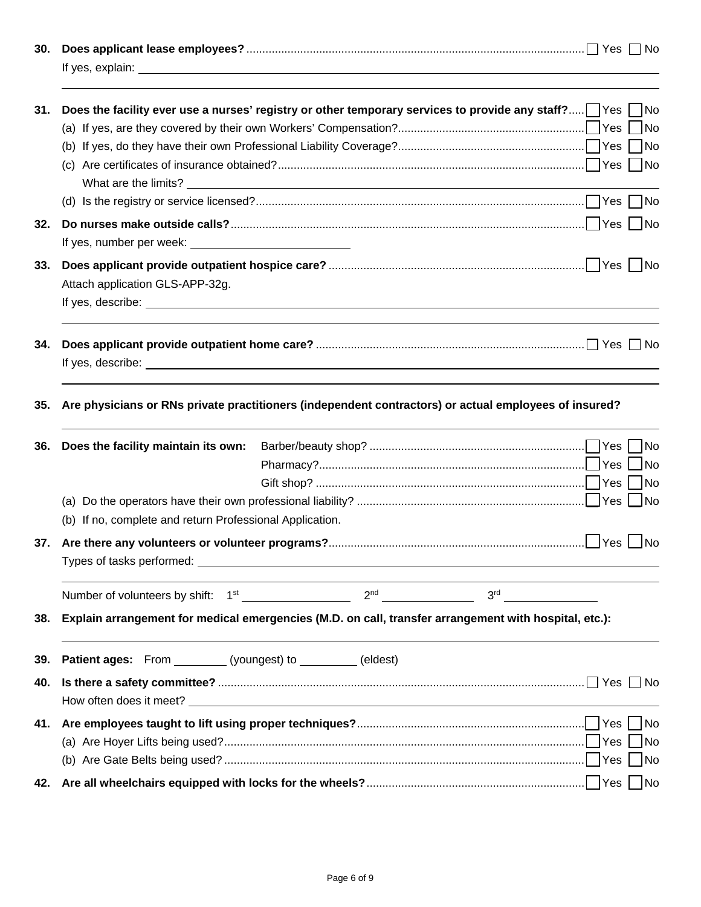| 30. |                                                                                                                          |
|-----|--------------------------------------------------------------------------------------------------------------------------|
| 31. | Does the facility ever use a nurses' registry or other temporary services to provide any staff? $\Box$ Yes $\Box$<br>∏No |
|     |                                                                                                                          |
| 32. |                                                                                                                          |
|     |                                                                                                                          |
| 33. | Attach application GLS-APP-32g.                                                                                          |
| 34. |                                                                                                                          |
| 35. | Are physicians or RNs private practitioners (independent contractors) or actual employees of insured?                    |
| 36. | Does the facility maintain its own:                                                                                      |
|     | (b) If no, complete and return Professional Application.                                                                 |
|     |                                                                                                                          |
|     |                                                                                                                          |
| 38. | Explain arrangement for medical emergencies (M.D. on call, transfer arrangement with hospital, etc.):                    |
| 39. | Patient ages: From _________ (youngest) to _________ (eldest)                                                            |
| 40. |                                                                                                                          |
| 41. | <b>No</b><br> No                                                                                                         |
| 42. |                                                                                                                          |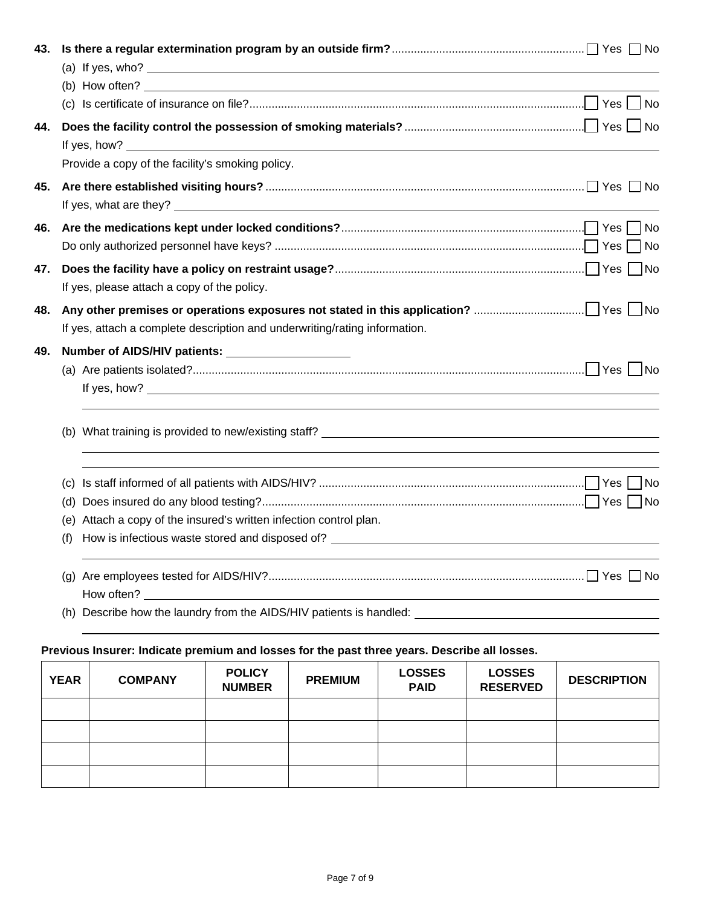| 43. |                                                                                   |  |    |  |  |  |  |
|-----|-----------------------------------------------------------------------------------|--|----|--|--|--|--|
|     | (b) How often? $\qquad \qquad$                                                    |  |    |  |  |  |  |
|     |                                                                                   |  |    |  |  |  |  |
| 44. |                                                                                   |  |    |  |  |  |  |
|     | Provide a copy of the facility's smoking policy.                                  |  |    |  |  |  |  |
| 45. | If yes, what are they?                                                            |  |    |  |  |  |  |
| 46. |                                                                                   |  |    |  |  |  |  |
| 47. | If yes, please attach a copy of the policy.                                       |  |    |  |  |  |  |
| 48. | If yes, attach a complete description and underwriting/rating information.        |  |    |  |  |  |  |
| 49. |                                                                                   |  |    |  |  |  |  |
|     |                                                                                   |  |    |  |  |  |  |
|     |                                                                                   |  |    |  |  |  |  |
|     | (c)                                                                               |  | No |  |  |  |  |
|     |                                                                                   |  |    |  |  |  |  |
|     | (e) Attach a copy of the insured's written infection control plan.                |  |    |  |  |  |  |
|     | How is infectious waste stored and disposed of? _________________________________ |  |    |  |  |  |  |
|     |                                                                                   |  |    |  |  |  |  |
|     | (h) Describe how the laundry from the AIDS/HIV patients is handled: _____________ |  |    |  |  |  |  |

# **Previous Insurer: Indicate premium and losses for the past three years. Describe all losses.**

| <b>YEAR</b> | <b>COMPANY</b> | <b>POLICY</b><br><b>NUMBER</b> | <b>PREMIUM</b> | <b>LOSSES</b><br><b>PAID</b> | <b>LOSSES</b><br><b>RESERVED</b> | <b>DESCRIPTION</b> |
|-------------|----------------|--------------------------------|----------------|------------------------------|----------------------------------|--------------------|
|             |                |                                |                |                              |                                  |                    |
|             |                |                                |                |                              |                                  |                    |
|             |                |                                |                |                              |                                  |                    |
|             |                |                                |                |                              |                                  |                    |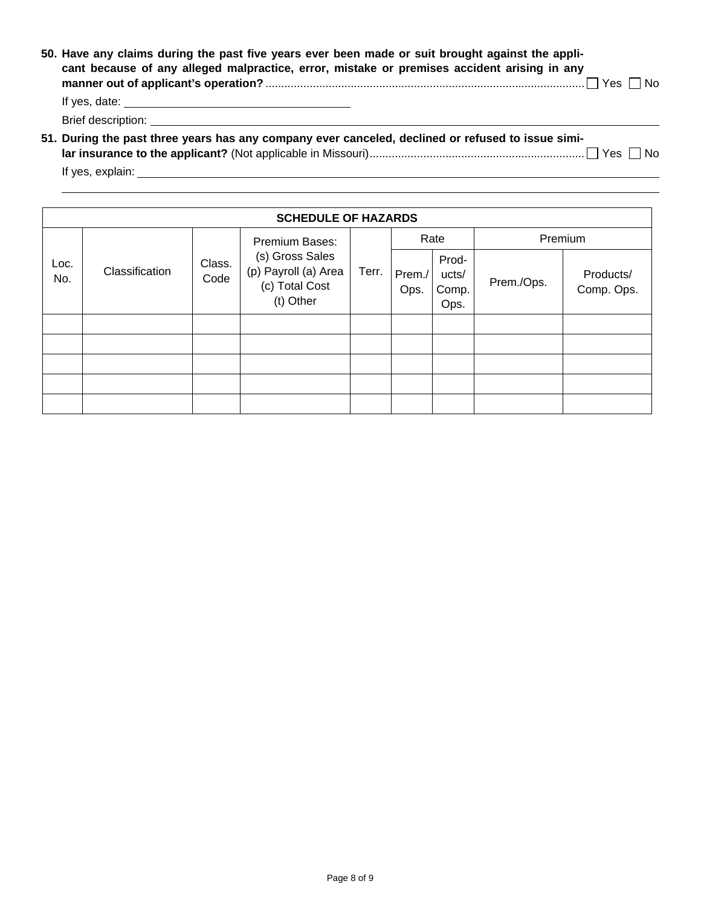| 50. Have any claims during the past five years ever been made or suit brought against the appli-<br>cant because of any alleged malpractice, error, mistake or premises accident arising in any |
|-------------------------------------------------------------------------------------------------------------------------------------------------------------------------------------------------|
|                                                                                                                                                                                                 |
|                                                                                                                                                                                                 |
| 51. During the past three years has any company ever canceled, declined or refused to issue simi-                                                                                               |

If yes, explain:

|             | <b>SCHEDULE OF HAZARDS</b> |                |                                                                        |       |                |                                 |            |                         |
|-------------|----------------------------|----------------|------------------------------------------------------------------------|-------|----------------|---------------------------------|------------|-------------------------|
|             |                            |                | Premium Bases:                                                         |       | Rate           |                                 | Premium    |                         |
| Loc.<br>No. | Classification             | Class.<br>Code | (s) Gross Sales<br>(p) Payroll (a) Area<br>(c) Total Cost<br>(t) Other | Terr. | Prem./<br>Ops. | Prod-<br>ucts/<br>Comp.<br>Ops. | Prem./Ops. | Products/<br>Comp. Ops. |
|             |                            |                |                                                                        |       |                |                                 |            |                         |
|             |                            |                |                                                                        |       |                |                                 |            |                         |
|             |                            |                |                                                                        |       |                |                                 |            |                         |
|             |                            |                |                                                                        |       |                |                                 |            |                         |
|             |                            |                |                                                                        |       |                |                                 |            |                         |